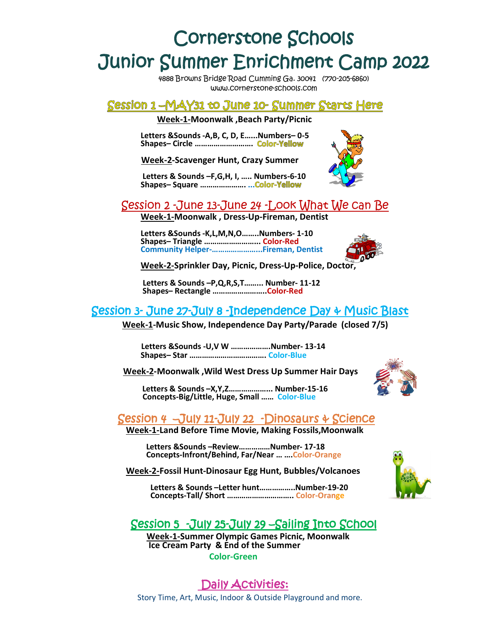# Cornerstone Schools Junior Summer Enrichment Camp 2022

4888 Browns Bridge Road Cumming Ga. 30041 (770-205-6860) www.cornerstone-schools.com

#### Session 1 –MAY31 to June 10- Summer Starts Here

**Week-1-Moonwalk ,Beach Party/Picnic**

**Letters &Sounds -A,B, C, D, E…...Numbers– 0-5 Shapes– Circle ……………………….** 

 **Week-2-Scavenger Hunt, Crazy Summer**



**Letters & Sounds –F,G,H, I, ….. Numbers-6-10 Shapes– Square …………………. ...** 

## Session 2 -June 13-June 24 -Look What We can Be

**Week-1-Moonwalk , Dress-Up-Fireman, Dentist**

**Letters &Sounds -K,L,M,N,O……..Numbers- 1-10 Shapes– Triangle ……………………... Color-Red Community Helper-…………………...Fireman, Dentist**



**Week-2-Sprinkler Day, Picnic, Dress-Up-Police, Doctor,** 

**Letters & Sounds –P,Q,R,S,T……... Number- 11-12 Shapes– Rectangle ……………………..Color-Red** 

### Session 3- June 27-July 8 -Independence Day & Music Blast

 **Week-1-Music Show, Independence Day Party/Parade (closed 7/5)** 

 **Letters &Sounds -U,V W ……………….Number- 13-14 Shapes– Star ………………………………. Color-Blue**

 **Week-2-Moonwalk ,Wild West Dress Up Summer Hair Days** 

 **Letters & Sounds –X,Y,Z………………... Number-15-16 Concepts-Big/Little, Huge, Small …… Color-Blue** 



#### Session 4 –July 11-July 22 -Dinosaurs & Science

**Week-1-Land Before Time Movie, Making Fossils,Moonwalk**

**Letters &Sounds –Review……………Number- 17-18 Concepts-Infront/Behind, Far/Near … ….Color-Orange** 

**Week-2-Fossil Hunt-Dinosaur Egg Hunt, Bubbles/Volcanoes**

 **Letters & Sounds –Letter hunt……………..Number-19-20 Concepts-Tall/ Short ………………………….. Color-Orange** 



#### Session 5 -July 25-July 29 –Sailing Into School

 **Week-1-Summer Olympic Games Picnic, Moonwalk Ice Cream Party & End of the Summer Color-Green** 

 Daily Activities: Story Time, Art, Music, Indoor & Outside Playground and more.